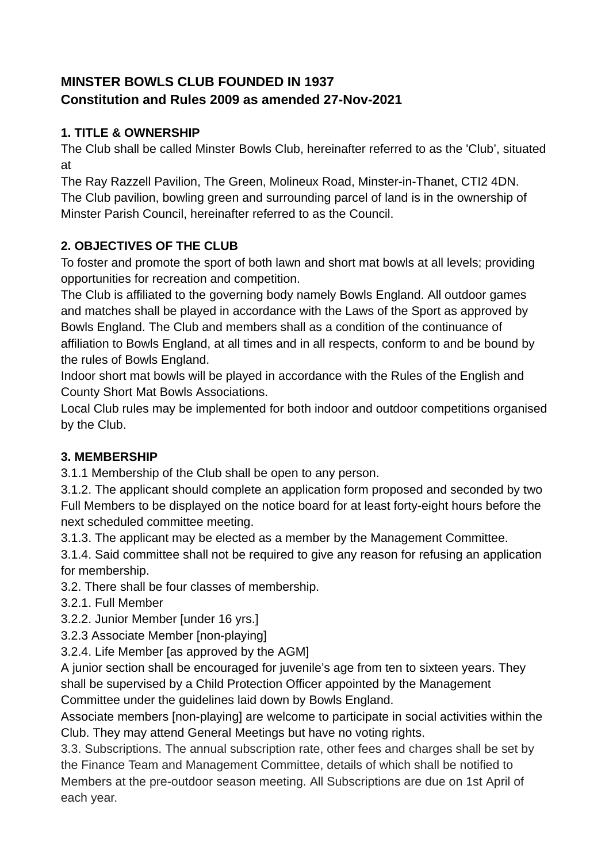# **MINSTER BOWLS CLUB FOUNDED IN 1937 Constitution and Rules 2009 as amended 27-Nov-2021**

## **1. TITLE & OWNERSHIP**

The Club shall be called Minster Bowls Club, hereinafter referred to as the 'Club', situated at

The Ray Razzell Pavilion, The Green, Molineux Road, Minster-in-Thanet, CTI2 4DN. The Club pavilion, bowling green and surrounding parcel of land is in the ownership of Minster Parish Council, hereinafter referred to as the Council.

## **2. OBJECTIVES OF THE CLUB**

To foster and promote the sport of both lawn and short mat bowls at all levels; providing opportunities for recreation and competition.

The Club is affiliated to the governing body namely Bowls England. All outdoor games and matches shall be played in accordance with the Laws of the Sport as approved by Bowls England. The Club and members shall as a condition of the continuance of affiliation to Bowls England, at all times and in all respects, conform to and be bound by the rules of Bowls England.

Indoor short mat bowls will be played in accordance with the Rules of the English and County Short Mat Bowls Associations.

Local Club rules may be implemented for both indoor and outdoor competitions organised by the Club.

# **3. MEMBERSHIP**

3.1.1 Membership of the Club shall be open to any person.

3.1.2. The applicant should complete an application form proposed and seconded by two Full Members to be displayed on the notice board for at least forty-eight hours before the next scheduled committee meeting.

3.1.3. The applicant may be elected as a member by the Management Committee.

3.1.4. Said committee shall not be required to give any reason for refusing an application for membership.

3.2. There shall be four classes of membership.

3.2.1. Full Member

3.2.2. Junior Member [under 16 yrs.]

3.2.3 Associate Member [non-playing]

3.2.4. Life Member [as approved by the AGM]

A junior section shall be encouraged for juvenile's age from ten to sixteen years. They shall be supervised by a Child Protection Officer appointed by the Management Committee under the guidelines laid down by Bowls England.

Associate members [non-playing] are welcome to participate in social activities within the Club. They may attend General Meetings but have no voting rights.

3.3. Subscriptions. The annual subscription rate, other fees and charges shall be set by the Finance Team and Management Committee, details of which shall be notified to Members at the pre-outdoor season meeting. All Subscriptions are due on 1st April of each year.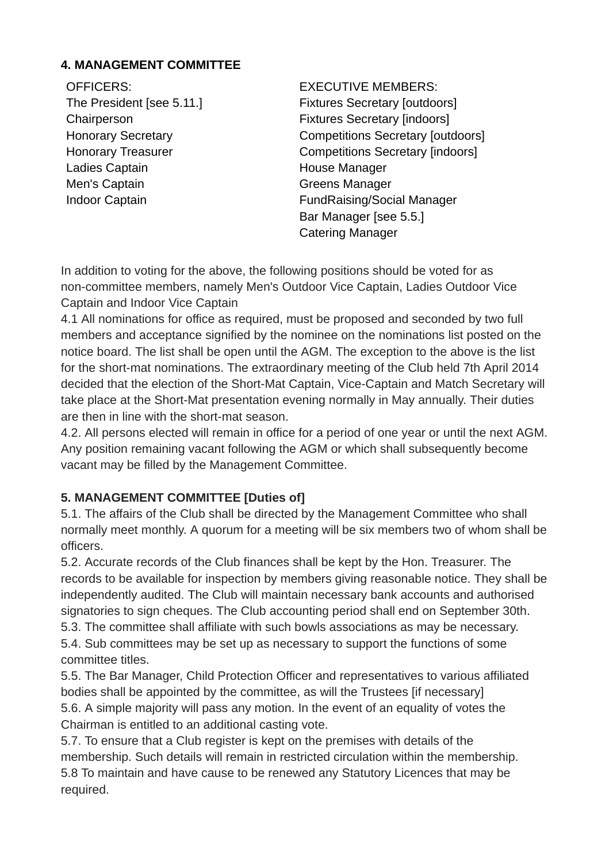#### **4. MANAGEMENT COMMITTEE**

OFFICERS: The President [see 5.11.] **Chairperson** Honorary Secretary Honorary Treasurer Ladies Captain Men's Captain Indoor Captain

EXECUTIVE MEMBERS: Fixtures Secretary [outdoors] Fixtures Secretary [indoors] Competitions Secretary [outdoors] Competitions Secretary [indoors] House Manager Greens Manager FundRaising/Social Manager Bar Manager [see 5.5.] Catering Manager

In addition to voting for the above, the following positions should be voted for as non-committee members, namely Men's Outdoor Vice Captain, Ladies Outdoor Vice Captain and Indoor Vice Captain

4.1 All nominations for office as required, must be proposed and seconded by two full members and acceptance signified by the nominee on the nominations list posted on the notice board. The list shall be open until the AGM. The exception to the above is the list for the short-mat nominations. The extraordinary meeting of the Club held 7th April 2014 decided that the election of the Short-Mat Captain, Vice-Captain and Match Secretary will take place at the Short-Mat presentation evening normally in May annually. Their duties are then in line with the short-mat season.

4.2. All persons elected will remain in office for a period of one year or until the next AGM. Any position remaining vacant following the AGM or which shall subsequently become vacant may be filled by the Management Committee.

## **5. MANAGEMENT COMMITTEE [Duties of]**

5.1. The affairs of the Club shall be directed by the Management Committee who shall normally meet monthly. A quorum for a meeting will be six members two of whom shall be officers.

5.2. Accurate records of the Club finances shall be kept by the Hon. Treasurer. The records to be available for inspection by members giving reasonable notice. They shall be independently audited. The Club will maintain necessary bank accounts and authorised signatories to sign cheques. The Club accounting period shall end on September 30th. 5.3. The committee shall affiliate with such bowls associations as may be necessary. 5.4. Sub committees may be set up as necessary to support the functions of some committee titles.

5.5. The Bar Manager, Child Protection Officer and representatives to various affiliated bodies shall be appointed by the committee, as will the Trustees [if necessary] 5.6. A simple majority will pass any motion. In the event of an equality of votes the

Chairman is entitled to an additional casting vote.

5.7. To ensure that a Club register is kept on the premises with details of the membership. Such details will remain in restricted circulation within the membership. 5.8 To maintain and have cause to be renewed any Statutory Licences that may be required.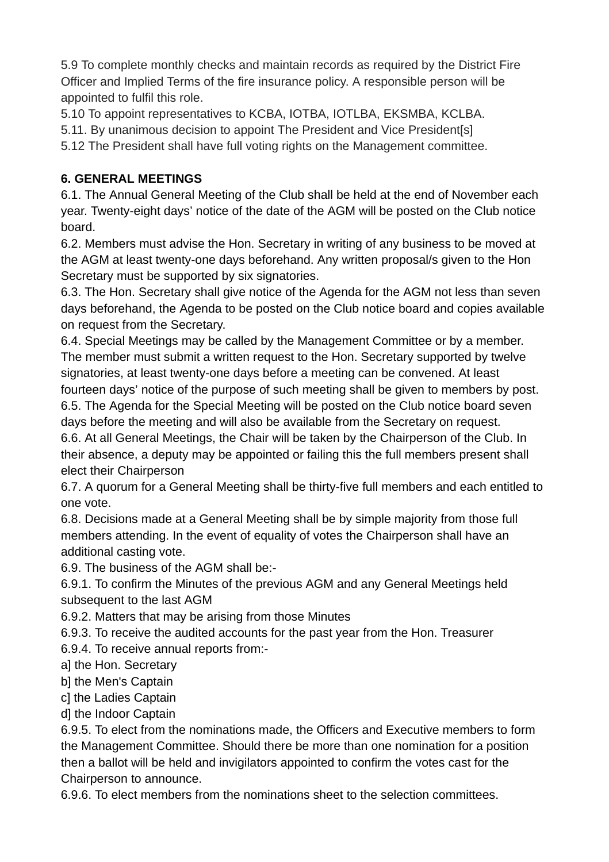5.9 To complete monthly checks and maintain records as required by the District Fire Officer and Implied Terms of the fire insurance policy. A responsible person will be appointed to fulfil this role.

5.10 To appoint representatives to KCBA, IOTBA, IOTLBA, EKSMBA, KCLBA.

5.11. By unanimous decision to appoint The President and Vice President[s]

5.12 The President shall have full voting rights on the Management committee.

## **6. GENERAL MEETINGS**

6.1. The Annual General Meeting of the Club shall be held at the end of November each year. Twenty-eight days' notice of the date of the AGM will be posted on the Club notice board.

6.2. Members must advise the Hon. Secretary in writing of any business to be moved at the AGM at least twenty-one days beforehand. Any written proposal/s given to the Hon Secretary must be supported by six signatories.

6.3. The Hon. Secretary shall give notice of the Agenda for the AGM not less than seven days beforehand, the Agenda to be posted on the Club notice board and copies available on request from the Secretary.

6.4. Special Meetings may be called by the Management Committee or by a member. The member must submit a written request to the Hon. Secretary supported by twelve signatories, at least twenty-one days before a meeting can be convened. At least fourteen days' notice of the purpose of such meeting shall be given to members by post. 6.5. The Agenda for the Special Meeting will be posted on the Club notice board seven

days before the meeting and will also be available from the Secretary on request.

6.6. At all General Meetings, the Chair will be taken by the Chairperson of the Club. In their absence, a deputy may be appointed or failing this the full members present shall elect their Chairperson

6.7. A quorum for a General Meeting shall be thirty-five full members and each entitled to one vote.

6.8. Decisions made at a General Meeting shall be by simple majority from those full members attending. In the event of equality of votes the Chairperson shall have an additional casting vote.

6.9. The business of the AGM shall be:-

6.9.1. To confirm the Minutes of the previous AGM and any General Meetings held subsequent to the last AGM

6.9.2. Matters that may be arising from those Minutes

6.9.3. To receive the audited accounts for the past year from the Hon. Treasurer

6.9.4. To receive annual reports from:-

a] the Hon. Secretary

b] the Men's Captain

c] the Ladies Captain

d] the Indoor Captain

6.9.5. To elect from the nominations made, the Officers and Executive members to form the Management Committee. Should there be more than one nomination for a position then a ballot will be held and invigilators appointed to confirm the votes cast for the Chairperson to announce.

6.9.6. To elect members from the nominations sheet to the selection committees.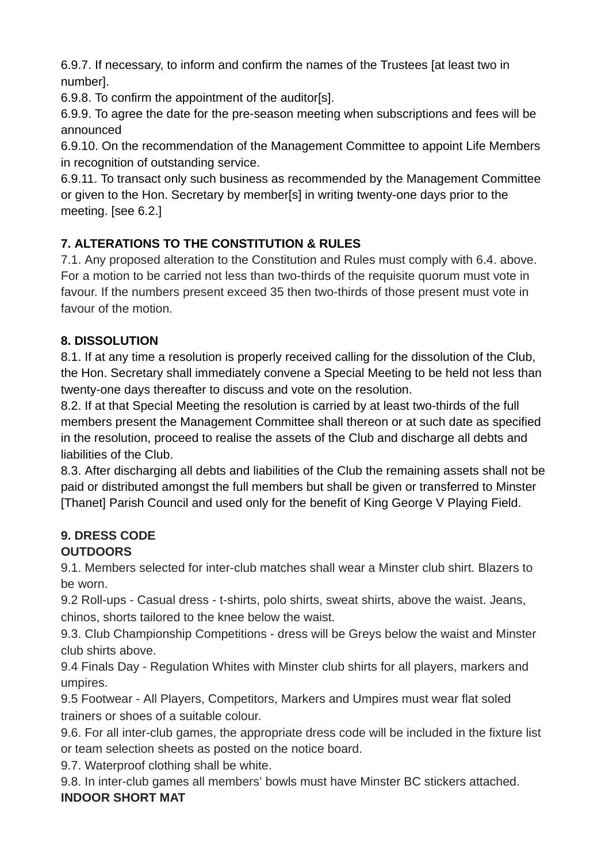6.9.7. If necessary, to inform and confirm the names of the Trustees [at least two in number].

6.9.8. To confirm the appointment of the auditor[s].

6.9.9. To agree the date for the pre-season meeting when subscriptions and fees will be announced

6.9.10. On the recommendation of the Management Committee to appoint Life Members in recognition of outstanding service.

6.9.11. To transact only such business as recommended by the Management Committee or given to the Hon. Secretary by member[s] in writing twenty-one days prior to the meeting. [see 6.2.]

# **7. ALTERATIONS TO THE CONSTITUTION & RULES**

7.1. Any proposed alteration to the Constitution and Rules must comply with 6.4. above. For a motion to be carried not less than two-thirds of the requisite quorum must vote in favour. If the numbers present exceed 35 then two-thirds of those present must vote in favour of the motion.

## **8. DISSOLUTION**

8.1. If at any time a resolution is properly received calling for the dissolution of the Club, the Hon. Secretary shall immediately convene a Special Meeting to be held not less than twenty-one days thereafter to discuss and vote on the resolution.

8.2. If at that Special Meeting the resolution is carried by at least two-thirds of the full members present the Management Committee shall thereon or at such date as specified in the resolution, proceed to realise the assets of the Club and discharge all debts and liabilities of the Club.

8.3. After discharging all debts and liabilities of the Club the remaining assets shall not be paid or distributed amongst the full members but shall be given or transferred to Minster [Thanet] Parish Council and used only for the benefit of King George V Playing Field.

# **9. DRESS CODE**

# **OUTDOORS**

9.1. Members selected for inter-club matches shall wear a Minster club shirt. Blazers to be worn.

9.2 Roll-ups - Casual dress - t-shirts, polo shirts, sweat shirts, above the waist. Jeans, chinos, shorts tailored to the knee below the waist.

9.3. Club Championship Competitions - dress will be Greys below the waist and Minster club shirts above.

9.4 Finals Day - Regulation Whites with Minster club shirts for all players, markers and umpires.

9.5 Footwear - All Players, Competitors, Markers and Umpires must wear flat soled trainers or shoes of a suitable colour.

9.6. For all inter-club games, the appropriate dress code will be included in the fixture list or team selection sheets as posted on the notice board.

9.7. Waterproof clothing shall be white.

9.8. In inter-club games all members' bowls must have Minster BC stickers attached. **INDOOR SHORT MAT**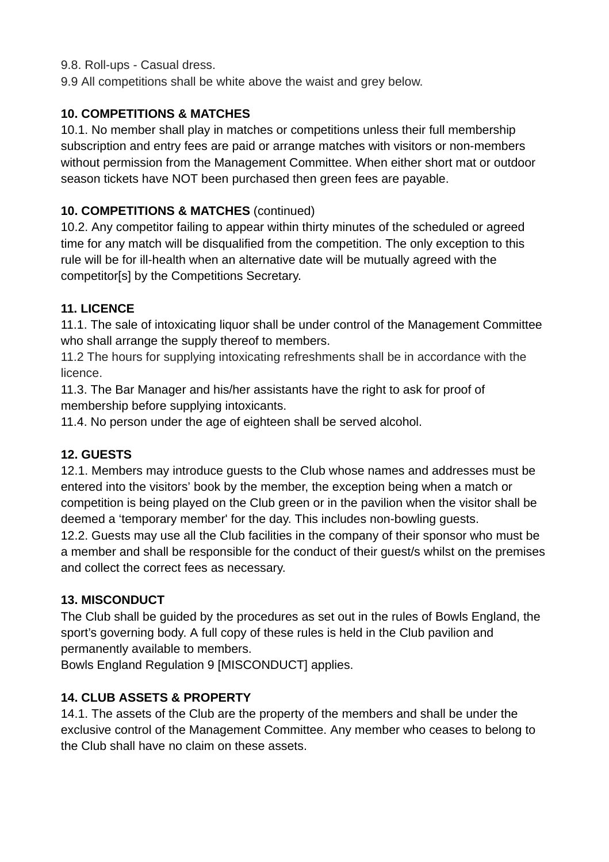9.8. Roll-ups - Casual dress.

9.9 All competitions shall be white above the waist and grey below.

## **10. COMPETITIONS & MATCHES**

10.1. No member shall play in matches or competitions unless their full membership subscription and entry fees are paid or arrange matches with visitors or non-members without permission from the Management Committee. When either short mat or outdoor season tickets have NOT been purchased then green fees are payable.

## **10. COMPETITIONS & MATCHES** (continued)

10.2. Any competitor failing to appear within thirty minutes of the scheduled or agreed time for any match will be disqualified from the competition. The only exception to this rule will be for ill-health when an alternative date will be mutually agreed with the competitor[s] by the Competitions Secretary.

## **11. LICENCE**

11.1. The sale of intoxicating liquor shall be under control of the Management Committee who shall arrange the supply thereof to members.

11.2 The hours for supplying intoxicating refreshments shall be in accordance with the licence.

11.3. The Bar Manager and his/her assistants have the right to ask for proof of membership before supplying intoxicants.

11.4. No person under the age of eighteen shall be served alcohol.

## **12. GUESTS**

12.1. Members may introduce guests to the Club whose names and addresses must be entered into the visitors' book by the member, the exception being when a match or competition is being played on the Club green or in the pavilion when the visitor shall be deemed a 'temporary member' for the day. This includes non-bowling guests. 12.2. Guests may use all the Club facilities in the company of their sponsor who must be a member and shall be responsible for the conduct of their guest/s whilst on the premises and collect the correct fees as necessary.

## **13. MISCONDUCT**

The Club shall be guided by the procedures as set out in the rules of Bowls England, the sport's governing body. A full copy of these rules is held in the Club pavilion and permanently available to members.

Bowls England Regulation 9 [MISCONDUCT] applies.

## **14. CLUB ASSETS & PROPERTY**

14.1. The assets of the Club are the property of the members and shall be under the exclusive control of the Management Committee. Any member who ceases to belong to the Club shall have no claim on these assets.